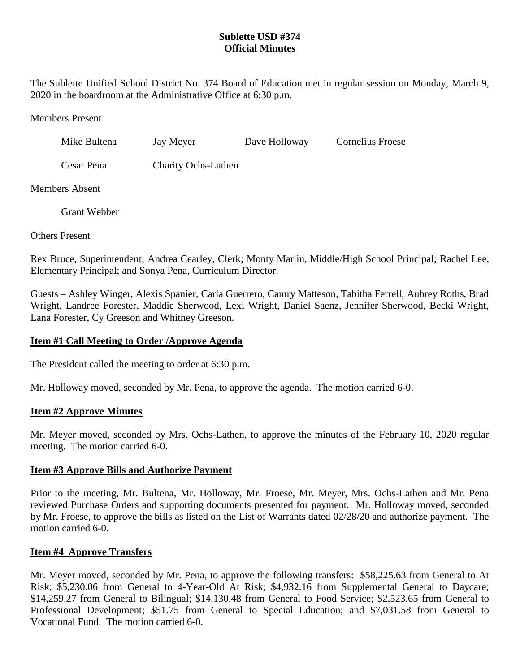# **Sublette USD #374 Official Minutes**

The Sublette Unified School District No. 374 Board of Education met in regular session on Monday, March 9, 2020 in the boardroom at the Administrative Office at 6:30 p.m.

Members Present

| Mike Bultena | Jay Meyer | Dave Holloway | <b>Cornelius Froese</b> |
|--------------|-----------|---------------|-------------------------|
|              |           |               |                         |

Cesar Pena Charity Ochs-Lathen

Members Absent

Grant Webber

Others Present

Rex Bruce, Superintendent; Andrea Cearley, Clerk; Monty Marlin, Middle/High School Principal; Rachel Lee, Elementary Principal; and Sonya Pena, Curriculum Director.

Guests – Ashley Winger, Alexis Spanier, Carla Guerrero, Camry Matteson, Tabitha Ferrell, Aubrey Roths, Brad Wright, Landree Forester, Maddie Sherwood, Lexi Wright, Daniel Saenz, Jennifer Sherwood, Becki Wright, Lana Forester, Cy Greeson and Whitney Greeson.

# **Item #1 Call Meeting to Order /Approve Agenda**

The President called the meeting to order at 6:30 p.m.

Mr. Holloway moved, seconded by Mr. Pena, to approve the agenda. The motion carried 6-0.

## **Item #2 Approve Minutes**

Mr. Meyer moved, seconded by Mrs. Ochs-Lathen, to approve the minutes of the February 10, 2020 regular meeting. The motion carried 6-0.

## **Item #3 Approve Bills and Authorize Payment**

Prior to the meeting, Mr. Bultena, Mr. Holloway, Mr. Froese, Mr. Meyer, Mrs. Ochs-Lathen and Mr. Pena reviewed Purchase Orders and supporting documents presented for payment. Mr. Holloway moved, seconded by Mr. Froese, to approve the bills as listed on the List of Warrants dated 02/28/20 and authorize payment. The motion carried 6-0.

## **Item #4 Approve Transfers**

Mr. Meyer moved, seconded by Mr. Pena, to approve the following transfers: \$58,225.63 from General to At Risk; \$5,230.06 from General to 4-Year-Old At Risk; \$4,932.16 from Supplemental General to Daycare; \$14,259.27 from General to Bilingual; \$14,130.48 from General to Food Service; \$2,523.65 from General to Professional Development; \$51.75 from General to Special Education; and \$7,031.58 from General to Vocational Fund. The motion carried 6-0.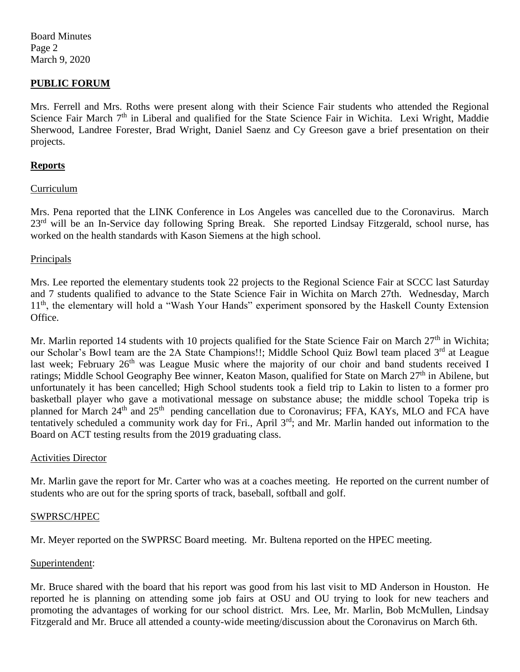Board Minutes Page 2 March 9, 2020

## **PUBLIC FORUM**

Mrs. Ferrell and Mrs. Roths were present along with their Science Fair students who attended the Regional Science Fair March  $7<sup>th</sup>$  in Liberal and qualified for the State Science Fair in Wichita. Lexi Wright, Maddie Sherwood, Landree Forester, Brad Wright, Daniel Saenz and Cy Greeson gave a brief presentation on their projects.

### **Reports**

### Curriculum

Mrs. Pena reported that the LINK Conference in Los Angeles was cancelled due to the Coronavirus. March 23<sup>rd</sup> will be an In-Service day following Spring Break. She reported Lindsay Fitzgerald, school nurse, has worked on the health standards with Kason Siemens at the high school.

### Principals

Mrs. Lee reported the elementary students took 22 projects to the Regional Science Fair at SCCC last Saturday and 7 students qualified to advance to the State Science Fair in Wichita on March 27th. Wednesday, March 11<sup>th</sup>, the elementary will hold a "Wash Your Hands" experiment sponsored by the Haskell County Extension Office.

Mr. Marlin reported 14 students with 10 projects qualified for the State Science Fair on March  $27<sup>th</sup>$  in Wichita; our Scholar's Bowl team are the 2A State Champions!!; Middle School Quiz Bowl team placed 3<sup>rd</sup> at League last week; February 26<sup>th</sup> was League Music where the majority of our choir and band students received I ratings; Middle School Geography Bee winner, Keaton Mason, qualified for State on March 27<sup>th</sup> in Abilene, but unfortunately it has been cancelled; High School students took a field trip to Lakin to listen to a former pro basketball player who gave a motivational message on substance abuse; the middle school Topeka trip is planned for March 24<sup>th</sup> and 25<sup>th</sup> pending cancellation due to Coronavirus; FFA, KAYs, MLO and FCA have tentatively scheduled a community work day for Fri., April 3<sup>rd</sup>; and Mr. Marlin handed out information to the Board on ACT testing results from the 2019 graduating class.

### Activities Director

Mr. Marlin gave the report for Mr. Carter who was at a coaches meeting. He reported on the current number of students who are out for the spring sports of track, baseball, softball and golf.

### SWPRSC/HPEC

Mr. Meyer reported on the SWPRSC Board meeting. Mr. Bultena reported on the HPEC meeting.

### Superintendent:

Mr. Bruce shared with the board that his report was good from his last visit to MD Anderson in Houston. He reported he is planning on attending some job fairs at OSU and OU trying to look for new teachers and promoting the advantages of working for our school district. Mrs. Lee, Mr. Marlin, Bob McMullen, Lindsay Fitzgerald and Mr. Bruce all attended a county-wide meeting/discussion about the Coronavirus on March 6th.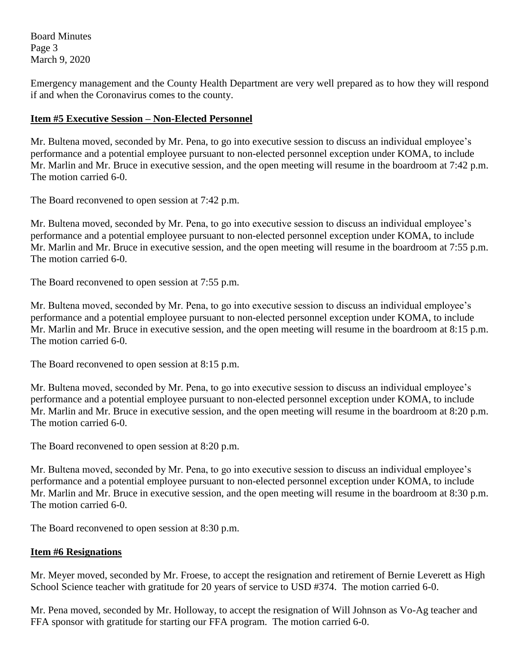Board Minutes Page 3 March 9, 2020

Emergency management and the County Health Department are very well prepared as to how they will respond if and when the Coronavirus comes to the county.

# **Item #5 Executive Session – Non-Elected Personnel**

Mr. Bultena moved, seconded by Mr. Pena, to go into executive session to discuss an individual employee's performance and a potential employee pursuant to non-elected personnel exception under KOMA, to include Mr. Marlin and Mr. Bruce in executive session, and the open meeting will resume in the boardroom at 7:42 p.m. The motion carried 6-0.

The Board reconvened to open session at 7:42 p.m.

Mr. Bultena moved, seconded by Mr. Pena, to go into executive session to discuss an individual employee's performance and a potential employee pursuant to non-elected personnel exception under KOMA, to include Mr. Marlin and Mr. Bruce in executive session, and the open meeting will resume in the boardroom at 7:55 p.m. The motion carried 6-0.

The Board reconvened to open session at 7:55 p.m.

Mr. Bultena moved, seconded by Mr. Pena, to go into executive session to discuss an individual employee's performance and a potential employee pursuant to non-elected personnel exception under KOMA, to include Mr. Marlin and Mr. Bruce in executive session, and the open meeting will resume in the boardroom at 8:15 p.m. The motion carried 6-0.

The Board reconvened to open session at 8:15 p.m.

Mr. Bultena moved, seconded by Mr. Pena, to go into executive session to discuss an individual employee's performance and a potential employee pursuant to non-elected personnel exception under KOMA, to include Mr. Marlin and Mr. Bruce in executive session, and the open meeting will resume in the boardroom at 8:20 p.m. The motion carried 6-0.

The Board reconvened to open session at 8:20 p.m.

Mr. Bultena moved, seconded by Mr. Pena, to go into executive session to discuss an individual employee's performance and a potential employee pursuant to non-elected personnel exception under KOMA, to include Mr. Marlin and Mr. Bruce in executive session, and the open meeting will resume in the boardroom at 8:30 p.m. The motion carried 6-0.

The Board reconvened to open session at 8:30 p.m.

# **Item #6 Resignations**

Mr. Meyer moved, seconded by Mr. Froese, to accept the resignation and retirement of Bernie Leverett as High School Science teacher with gratitude for 20 years of service to USD #374. The motion carried 6-0.

Mr. Pena moved, seconded by Mr. Holloway, to accept the resignation of Will Johnson as Vo-Ag teacher and FFA sponsor with gratitude for starting our FFA program. The motion carried 6-0.